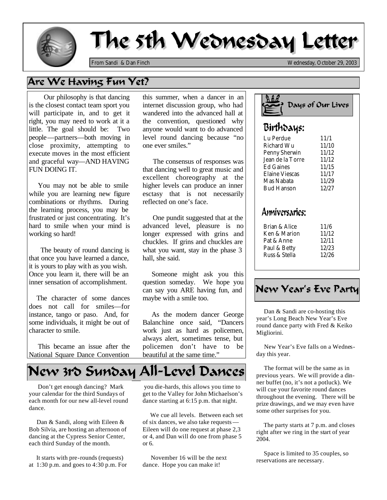

# The 5th Wednesday Letter

*From Sandi & Dan Finch Wednesday, October 29, 2003*

## Are We Having Fun Yet?

 Our philosophy is that dancing is the closest contact team sport you will participate in, and to get it right, you may need to work at it a little. The goal should be: Two people—partners—both moving in close proximity, attempting to execute moves in the most efficient and graceful way—AND HAVING FUN DOING IT.

 You may not be able to smile while you are learning new figure combinations or rhythms. During the learning process, you may be frustrated or just concentrating. It's hard to smile when your mind is working so hard!

 The beauty of round dancing is that once you have learned a dance, it is yours to play with as you wish. Once you learn it, there will be an inner sensation of accomplishment.

 The character of some dances does not call for smiles—for instance, tango or paso. And, for some individuals, it might be out of character to smile.

 This became an issue after the National Square Dance Convention

# New 3rd Sunday All-Level Dances

 Don't get enough dancing? Mark your calendar for the third Sundays of each month for our new all-level round dance.

 Dan & Sandi, along with Eileen & Bob Silvia, are hosting an afternoon of dancing at the Cypress Senior Center, each third Sunday of the month.

 It starts with pre-rounds (requests) at 1:30 p.m. and goes to 4:30 p.m. For this summer, when a dancer in an internet discussion group, who had wandered into the advanced hall at the convention, questioned why anyone would want to do advanced level round dancing because "no one ever smiles."

 The consensus of responses was that dancing well to great music and excellent choreography at the higher levels can produce an inner esctasy that is not necessarily reflected on one's face.

 One pundit suggested that at the advanced level, pleasure is no longer expressed with grins and chuckles. If grins and chuckles are what you want, stay in the phase 3 hall, she said.

 Someone might ask you this question someday. We hope you can say you ARE having fun, and maybe with a smile too.

 As the modern dancer George Balanchine once said, "Dancers work just as hard as policemen, always alert, sometimes tense, but policemen don't have to be beautiful at the same time."



| iviciiui u vvu   | 11/1V |
|------------------|-------|
| Penny Sherwin    | 11/12 |
| Jean de la Torre | 11/12 |
| Ed Gaines        | 11/15 |
| Elaine Viescas   | 11/17 |
| Mas Nabata       | 11/29 |
| Bud Hanson       | 12/27 |
|                  |       |

## Anniversaries:

| Brian & Alice | 11/6  |
|---------------|-------|
| Ken & Marion  | 11/12 |
| Pat & Anne    | 12/11 |
| Paul & Betty  | 12/23 |
| Russ & Stella | 12/26 |

New Year's Eve Party

 round dance party with Fred & Keiko Dan & Sandi are co-hosting this year's Long Beach New Year's Eve Migliorini.

 New Year's Eve falls on a Wednesday this year.

 The format will be the same as in previous years. We will provide a dinner buffet (no, it's not a potluck). We will cue your favorite round dances throughout the evening. There will be prize drawings, and we may even have some other surprises for you.

The party starts at 7 p.m. and closes right after we ring in the start of year 2004.

 Space is limited to 35 couples, so reservations are necessary.

 you die-hards, this allows you time to get to the Valley for John Michaelson's dance starting at 6:15 p.m. that night.

 We cue all levels. Between each set of six dances, we also take requests — Eileen will do one request at phase 2,3 or 4, and Dan will do one from phase 5 or 6.

 November 16 will be the next dance. Hope you can make it!